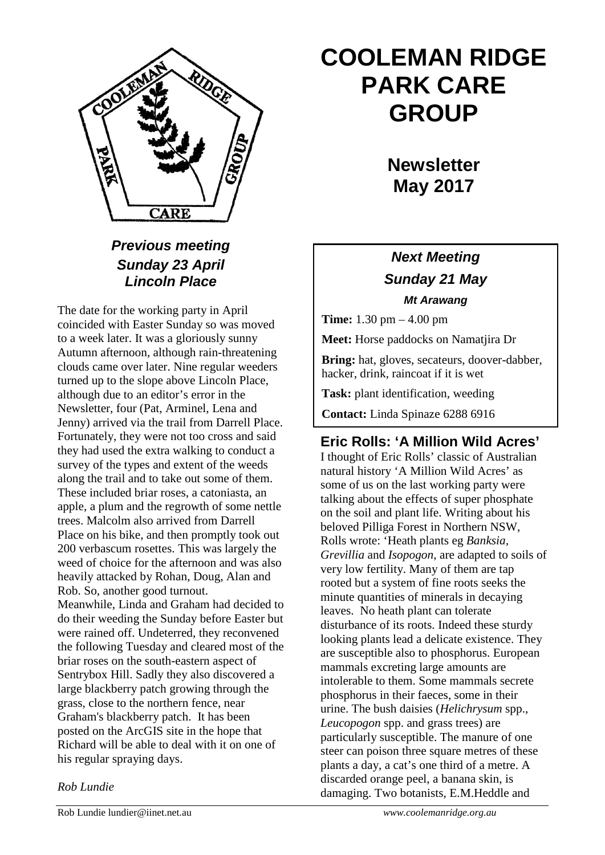

## *Previous meeting Sunday 23 April Lincoln Place*

The date for the working party in April coincided with Easter Sunday so was moved to a week later. It was a gloriously sunny Autumn afternoon, although rain-threatening clouds came over later. Nine regular weeders turned up to the slope above Lincoln Place, although due to an editor's error in the Newsletter, four (Pat, Arminel, Lena and Jenny) arrived via the trail from Darrell Place. Fortunately, they were not too cross and said they had used the extra walking to conduct a survey of the types and extent of the weeds along the trail and to take out some of them. These included briar roses, a catoniasta, an apple, a plum and the regrowth of some nettle trees. Malcolm also arrived from Darrell Place on his bike, and then promptly took out 200 verbascum rosettes. This was largely the weed of choice for the afternoon and was also heavily attacked by Rohan, Doug, Alan and Rob. So, another good turnout. Meanwhile, Linda and Graham had decided to do their weeding the Sunday before Easter but were rained off. Undeterred, they reconvened the following Tuesday and cleared most of the briar roses on the south-eastern aspect of Sentrybox Hill. Sadly they also discovered a large blackberry patch growing through the grass, close to the northern fence, near Graham's blackberry patch. It has been posted on the ArcGIS site in the hope that Richard will be able to deal with it on one of his regular spraying days.

# **COOLEMAN RIDGE PARK CARE GROUP**

**Newsletter May 2017** 

## *Next Meeting Sunday 21 May Mt Arawang*

**Time:** 1.30 pm – 4.00 pm

**Meet:** Horse paddocks on Namatjira Dr

**Bring:** hat, gloves, secateurs, doover-dabber, hacker, drink, raincoat if it is wet

**Task:** plant identification, weeding

**Contact:** Linda Spinaze 6288 6916

## **Eric Rolls: 'A Million Wild Acres'**

I thought of Eric Rolls' classic of Australian natural history 'A Million Wild Acres' as some of us on the last working party were talking about the effects of super phosphate on the soil and plant life. Writing about his beloved Pilliga Forest in Northern NSW, Rolls wrote: 'Heath plants eg *Banksia, Grevillia* and *Isopogon*, are adapted to soils of very low fertility. Many of them are tap rooted but a system of fine roots seeks the minute quantities of minerals in decaying leaves. No heath plant can tolerate disturbance of its roots. Indeed these sturdy looking plants lead a delicate existence. They are susceptible also to phosphorus. European mammals excreting large amounts are intolerable to them. Some mammals secrete phosphorus in their faeces, some in their urine. The bush daisies (*Helichrysum* spp., *Leucopogon* spp. and grass trees) are particularly susceptible. The manure of one steer can poison three square metres of these plants a day, a cat's one third of a metre. A discarded orange peel, a banana skin, is damaging. Two botanists, E.M.Heddle and

*Rob Lundie*